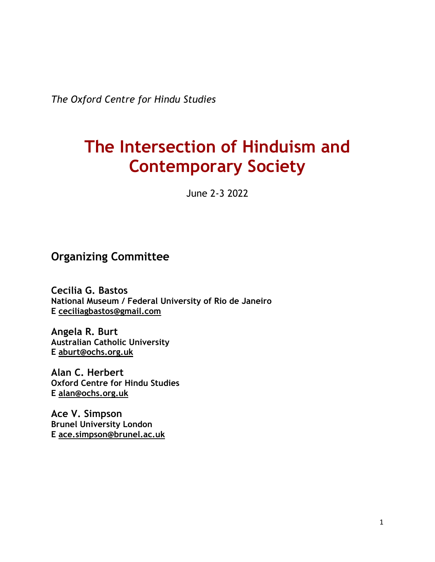*The Oxford Centre for Hindu Studies* 

# **The Intersection of Hinduism and Contemporary Society**

June 2-3 2022

# **Organizing Committee**

**Cecilia G. Bastos National Museum / Federal University of Rio de Janeiro E ceciliagbastos@gmail.com**

**Angela R. Burt Australian Catholic University E aburt@ochs.org.uk**

**Alan C. Herbert Oxford Centre for Hindu Studies E alan@ochs.org.uk**

**Ace V. Simpson Brunel University London E ace.simpson@brunel.ac.uk**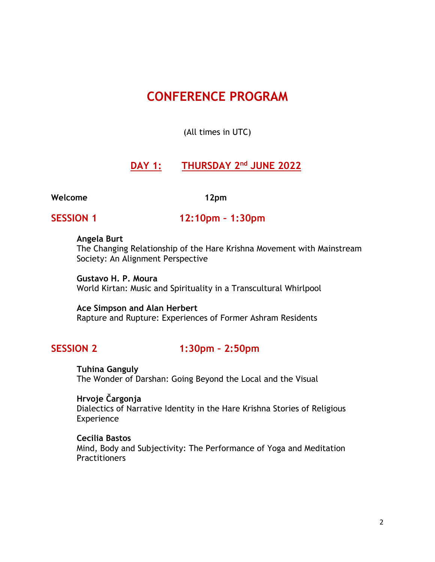# **CONFERENCE PROGRAM**

(All times in UTC)

### **DAY 1: THURSDAY 2nd JUNE 2022**

#### **Welcome 12pm**

**SESSION 1 12:10pm – 1:30pm**

#### **Angela Burt**

The Changing Relationship of the Hare Krishna Movement with Mainstream Society: An Alignment Perspective

**Gustavo H. P. Moura** World Kirtan: Music and Spirituality in a Transcultural Whirlpool

#### **Ace Simpson and Alan Herbert**

Rapture and Rupture: Experiences of Former Ashram Residents

## **SESSION 2 1:30pm – 2:50pm**

**Tuhina Ganguly** The Wonder of Darshan: Going Beyond the Local and the Visual

**Hrvoje Čargonja**

Dialectics of Narrative Identity in the Hare Krishna Stories of Religious Experience

#### **Cecilia Bastos**

Mind, Body and Subjectivity: The Performance of Yoga and Meditation **Practitioners**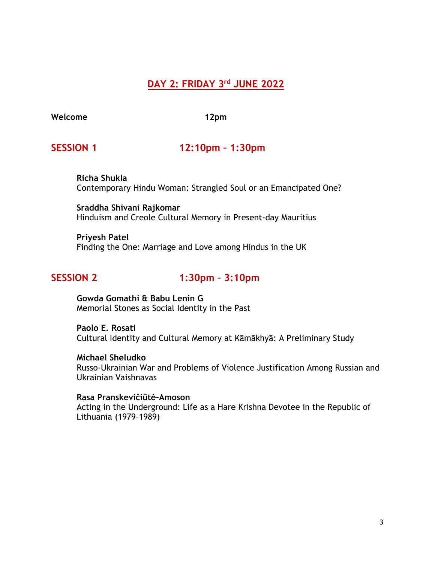# **DAY 2: FRIDAY 3rd JUNE 2022**

**Welcome 12pm**

### **SESSION 1 12:10pm – 1:30pm**

**Richa Shukla** Contemporary Hindu Woman: Strangled Soul or an Emancipated One?

**Sraddha Shivani Rajkomar** Hinduism and Creole Cultural Memory in Present-day Mauritius

**Priyesh Patel** Finding the One: Marriage and Love among Hindus in the UK

# **SESSION 2 1:30pm – 3:10pm**

**Gowda Gomathi & Babu Lenin G** Memorial Stones as Social Identity in the Past

**Paolo E. Rosati** Cultural Identity and Cultural Memory at Kāmākhyā: A Preliminary Study

**Michael Sheludko** Russo-Ukrainian War and Problems of Violence Justification Among Russian and Ukrainian Vaishnavas

**Rasa Pranskevičiūtė-Amoson** Acting in the Underground: Life as a Hare Krishna Devotee in the Republic of Lithuania (1979–1989)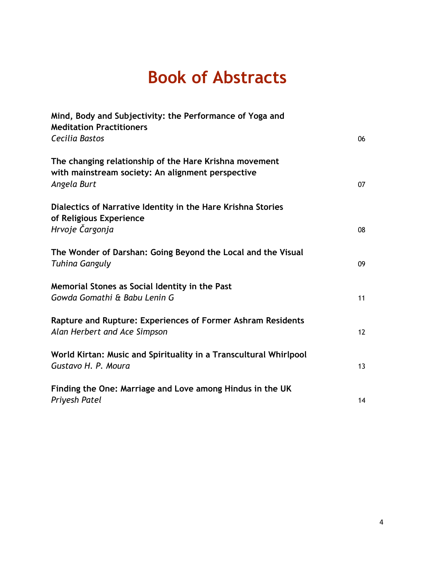# **Book of Abstracts**

| Mind, Body and Subjectivity: the Performance of Yoga and<br><b>Meditation Practitioners</b>                 |    |
|-------------------------------------------------------------------------------------------------------------|----|
| Cecilia Bastos                                                                                              | 06 |
| The changing relationship of the Hare Krishna movement<br>with mainstream society: An alignment perspective |    |
| Angela Burt                                                                                                 | 07 |
| Dialectics of Narrative Identity in the Hare Krishna Stories<br>of Religious Experience                     |    |
| Hrvoje Čargonja                                                                                             | 08 |
| The Wonder of Darshan: Going Beyond the Local and the Visual<br><b>Tuhina Ganguly</b>                       | 09 |
| Memorial Stones as Social Identity in the Past<br>Gowda Gomathi & Babu Lenin G                              | 11 |
| Rapture and Rupture: Experiences of Former Ashram Residents<br>Alan Herbert and Ace Simpson                 | 12 |
| World Kirtan: Music and Spirituality in a Transcultural Whirlpool<br>Gustavo H. P. Moura                    | 13 |
| Finding the One: Marriage and Love among Hindus in the UK<br>Priyesh Patel                                  | 14 |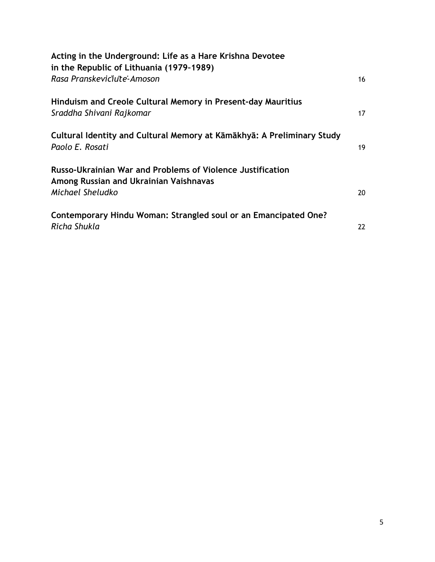| Acting in the Underground: Life as a Hare Krishna Devotee<br>in the Republic of Lithuania (1979-1989)                           |    |
|---------------------------------------------------------------------------------------------------------------------------------|----|
| Rasa Pranskeviciute-Amoson                                                                                                      | 16 |
| Hinduism and Creole Cultural Memory in Present-day Mauritius<br>Sraddha Shivani Rajkomar                                        | 17 |
| Cultural Identity and Cultural Memory at Kāmākhyā: A Preliminary Study<br>Paolo E. Rosati                                       | 19 |
| <b>Russo-Ukrainian War and Problems of Violence Justification</b><br>Among Russian and Ukrainian Vaishnavas<br>Michael Sheludko | 20 |
| Contemporary Hindu Woman: Strangled soul or an Emancipated One?<br>Richa Shukla                                                 | 22 |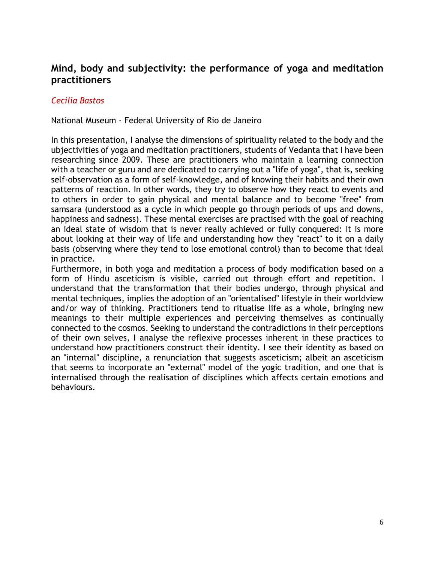# **Mind, body and subjectivity: the performance of yoga and meditation practitioners**

#### *Cecilia Bastos*

National Museum - Federal University of Rio de Janeiro

In this presentation, I analyse the dimensions of spirituality related to the body and the ubjectivities of yoga and meditation practitioners, students of Vedanta that I have been researching since 2009. These are practitioners who maintain a learning connection with a teacher or guru and are dedicated to carrying out a "life of yoga", that is, seeking self-observation as a form of self-knowledge, and of knowing their habits and their own patterns of reaction. In other words, they try to observe how they react to events and to others in order to gain physical and mental balance and to become "free" from samsara (understood as a cycle in which people go through periods of ups and downs, happiness and sadness). These mental exercises are practised with the goal of reaching an ideal state of wisdom that is never really achieved or fully conquered: it is more about looking at their way of life and understanding how they "react" to it on a daily basis (observing where they tend to lose emotional control) than to become that ideal in practice.

Furthermore, in both yoga and meditation a process of body modification based on a form of Hindu asceticism is visible, carried out through effort and repetition. I understand that the transformation that their bodies undergo, through physical and mental techniques, implies the adoption of an "orientalised" lifestyle in their worldview and/or way of thinking. Practitioners tend to ritualise life as a whole, bringing new meanings to their multiple experiences and perceiving themselves as continually connected to the cosmos. Seeking to understand the contradictions in their perceptions of their own selves, I analyse the reflexive processes inherent in these practices to understand how practitioners construct their identity. I see their identity as based on an "internal" discipline, a renunciation that suggests asceticism; albeit an asceticism that seems to incorporate an "external" model of the yogic tradition, and one that is internalised through the realisation of disciplines which affects certain emotions and behaviours.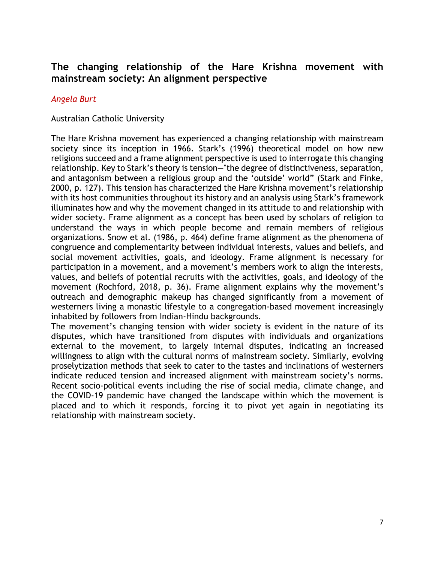# **The changing relationship of the Hare Krishna movement with mainstream society: An alignment perspective**

#### *Angela Burt*

#### Australian Catholic University

The Hare Krishna movement has experienced a changing relationship with mainstream society since its inception in 1966. Stark's (1996) theoretical model on how new religions succeed and a frame alignment perspective is used to interrogate this changing relationship. Key to Stark's theory is tension—"the degree of distinctiveness, separation, and antagonism between a religious group and the 'outside' world" (Stark and Finke, 2000, p. 127). This tension has characterized the Hare Krishna movement's relationship with its host communities throughout its history and an analysis using Stark's framework illuminates how and why the movement changed in its attitude to and relationship with wider society. Frame alignment as a concept has been used by scholars of religion to understand the ways in which people become and remain members of religious organizations. Snow et al. (1986, p. 464) define frame alignment as the phenomena of congruence and complementarity between individual interests, values and beliefs, and social movement activities, goals, and ideology. Frame alignment is necessary for participation in a movement, and a movement's members work to align the interests, values, and beliefs of potential recruits with the activities, goals, and ideology of the movement (Rochford, 2018, p. 36). Frame alignment explains why the movement's outreach and demographic makeup has changed significantly from a movement of westerners living a monastic lifestyle to a congregation-based movement increasingly inhabited by followers from Indian-Hindu backgrounds.

The movement's changing tension with wider society is evident in the nature of its disputes, which have transitioned from disputes with individuals and organizations external to the movement, to largely internal disputes, indicating an increased willingness to align with the cultural norms of mainstream society. Similarly, evolving proselytization methods that seek to cater to the tastes and inclinations of westerners indicate reduced tension and increased alignment with mainstream society's norms. Recent socio-political events including the rise of social media, climate change, and the COVID-19 pandemic have changed the landscape within which the movement is placed and to which it responds, forcing it to pivot yet again in negotiating its relationship with mainstream society.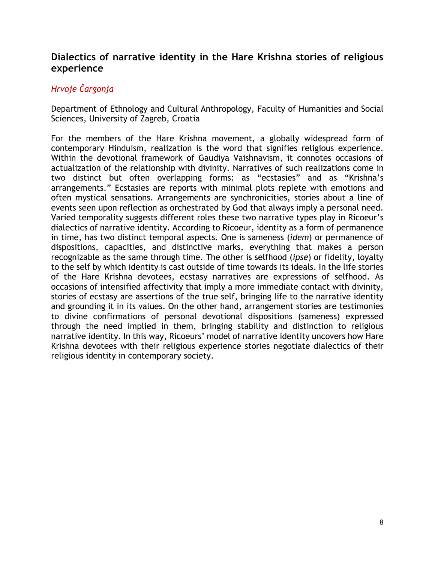## **Dialectics of narrative identity in the Hare Krishna stories of religious experience**

# *Hrvoje Čargonja*

Department of Ethnology and Cultural Anthropology, Faculty of Humanities and Social Sciences, University of Zagreb, Croatia

For the members of the Hare Krishna movement, a globally widespread form of contemporary Hinduism, realization is the word that signifies religious experience. Within the devotional framework of Gaudiya Vaishnavism, it connotes occasions of actualization of the relationship with divinity. Narratives of such realizations come in two distinct but often overlapping forms: as "ecstasies" and as "Krishna's arrangements." Ecstasies are reports with minimal plots replete with emotions and often mystical sensations. Arrangements are synchronicities, stories about a line of events seen upon reflection as orchestrated by God that always imply a personal need. Varied temporality suggests different roles these two narrative types play in Ricoeur's dialectics of narrative identity. According to Ricoeur, identity as a form of permanence in time, has two distinct temporal aspects. One is sameness (*idem*) or permanence of dispositions, capacities, and distinctive marks, everything that makes a person recognizable as the same through time. The other is selfhood (*ipse*) or fidelity, loyalty to the self by which identity is cast outside of time towards its ideals. In the life stories of the Hare Krishna devotees, ecstasy narratives are expressions of selfhood. As occasions of intensified affectivity that imply a more immediate contact with divinity, stories of ecstasy are assertions of the true self, bringing life to the narrative identity and grounding it in its values. On the other hand, arrangement stories are testimonies to divine confirmations of personal devotional dispositions (sameness) expressed through the need implied in them, bringing stability and distinction to religious narrative identity. In this way, Ricoeurs' model of narrative identity uncovers how Hare Krishna devotees with their religious experience stories negotiate dialectics of their religious identity in contemporary society.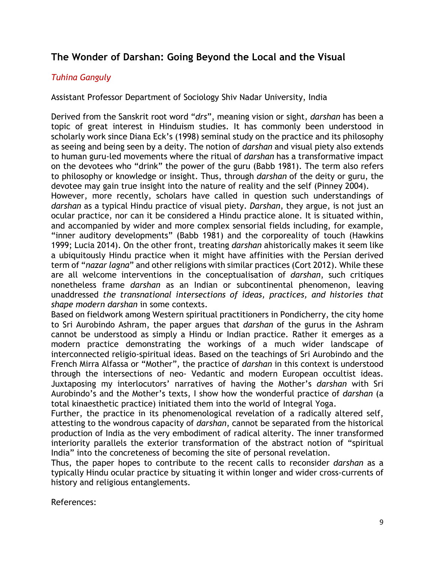# **The Wonder of Darshan: Going Beyond the Local and the Visual**

#### *Tuhina Ganguly*

Assistant Professor Department of Sociology Shiv Nadar University, India

Derived from the Sanskrit root word "*drs*", meaning vision or sight, *darshan* has been a topic of great interest in Hinduism studies. It has commonly been understood in scholarly work since Diana Eck's (1998) seminal study on the practice and its philosophy as seeing and being seen by a deity. The notion of *darshan* and visual piety also extends to human guru-led movements where the ritual of *darshan* has a transformative impact on the devotees who "drink" the power of the guru (Babb 1981). The term also refers to philosophy or knowledge or insight. Thus, through *darshan* of the deity or guru, the devotee may gain true insight into the nature of reality and the self (Pinney 2004).

However, more recently, scholars have called in question such understandings of *darshan* as a typical Hindu practice of visual piety. *Darshan*, they argue, is not just an ocular practice, nor can it be considered a Hindu practice alone. It is situated within, and accompanied by wider and more complex sensorial fields including, for example, "inner auditory developments" (Babb 1981) and the corporeality of touch (Hawkins 1999; Lucia 2014). On the other front, treating *darshan* ahistorically makes it seem like a ubiquitously Hindu practice when it might have affinities with the Persian derived term of "*nazar lagna*" and other religions with similar practices (Cort 2012). While these are all welcome interventions in the conceptualisation of *darshan*, such critiques nonetheless frame *darshan* as an Indian or subcontinental phenomenon, leaving unaddressed *the transnational intersections of ideas, practices, and histories that shape modern darshan* in some contexts.

Based on fieldwork among Western spiritual practitioners in Pondicherry, the city home to Sri Aurobindo Ashram, the paper argues that *darshan* of the gurus in the Ashram cannot be understood as simply a Hindu or Indian practice. Rather it emerges as a modern practice demonstrating the workings of a much wider landscape of interconnected religio-spiritual ideas. Based on the teachings of Sri Aurobindo and the French Mirra Alfassa or "Mother", the practice of *darshan* in this context is understood through the intersections of neo- Vedantic and modern European occultist ideas. Juxtaposing my interlocutors' narratives of having the Mother's *darshan* with Sri Aurobindo's and the Mother's texts, I show how the wonderful practice of *darshan* (a total kinaesthetic practice) initiated them into the world of Integral Yoga.

Further, the practice in its phenomenological revelation of a radically altered self, attesting to the wondrous capacity of *darshan*, cannot be separated from the historical production of India as the very embodiment of radical alterity. The inner transformed interiority parallels the exterior transformation of the abstract notion of "spiritual India" into the concreteness of becoming the site of personal revelation.

Thus, the paper hopes to contribute to the recent calls to reconsider *darshan* as a typically Hindu ocular practice by situating it within longer and wider cross-currents of history and religious entanglements.

References: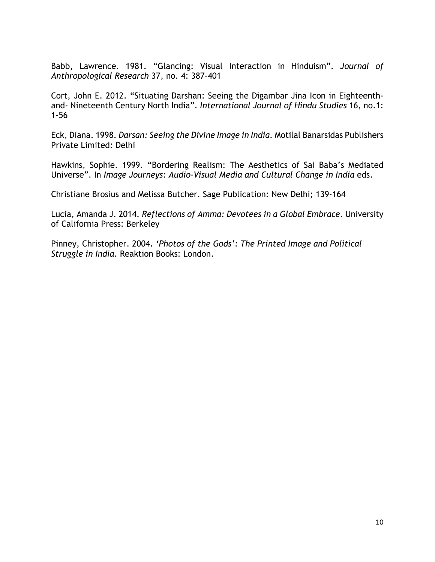Babb, Lawrence. 1981. "Glancing: Visual Interaction in Hinduism". *Journal of Anthropological Research* 37, no. 4: 387-401

Cort, John E. 2012. "Situating Darshan: Seeing the Digambar Jina Icon in Eighteenthand- Nineteenth Century North India". *International Journal of Hindu Studies* 16, no.1: 1-56

Eck, Diana. 1998. *Darsan: Seeing the Divine Image in India*. Motilal Banarsidas Publishers Private Limited: Delhi

Hawkins, Sophie. 1999. "Bordering Realism: The Aesthetics of Sai Baba's Mediated Universe". In *Image Journeys: Audio-Visual Media and Cultural Change in India* eds.

Christiane Brosius and Melissa Butcher. Sage Publication: New Delhi; 139-164

Lucia, Amanda J. 2014. *Reflections of Amma: Devotees in a Global Embrace*. University of California Press: Berkeley

Pinney, Christopher. 2004. *'Photos of the Gods': The Printed Image and Political Struggle in India*. Reaktion Books: London.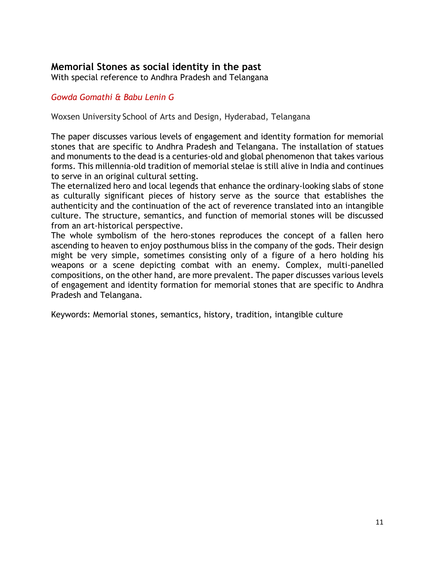# **Memorial Stones as social identity in the past**

With special reference to Andhra Pradesh and Telangana

#### *Gowda Gomathi & Babu Lenin G*

Woxsen University School of Arts and Design, Hyderabad, Telangana

The paper discusses various levels of engagement and identity formation for memorial stones that are specific to Andhra Pradesh and Telangana. The installation of statues and monuments to the dead is a centuries-old and global phenomenon that takes various forms. This millennia-old tradition of memorial stelae is still alive in India and continues to serve in an original cultural setting.

The eternalized hero and local legends that enhance the ordinary-looking slabs of stone as culturally significant pieces of history serve as the source that establishes the authenticity and the continuation of the act of reverence translated into an intangible culture. The structure, semantics, and function of memorial stones will be discussed from an art-historical perspective.

The whole symbolism of the hero-stones reproduces the concept of a fallen hero ascending to heaven to enjoy posthumous bliss in the company of the gods. Their design might be very simple, sometimes consisting only of a figure of a hero holding his weapons or a scene depicting combat with an enemy. Complex, multi-panelled compositions, on the other hand, are more prevalent. The paper discusses various levels of engagement and identity formation for memorial stones that are specific to Andhra Pradesh and Telangana.

Keywords: Memorial stones, semantics, history, tradition, intangible culture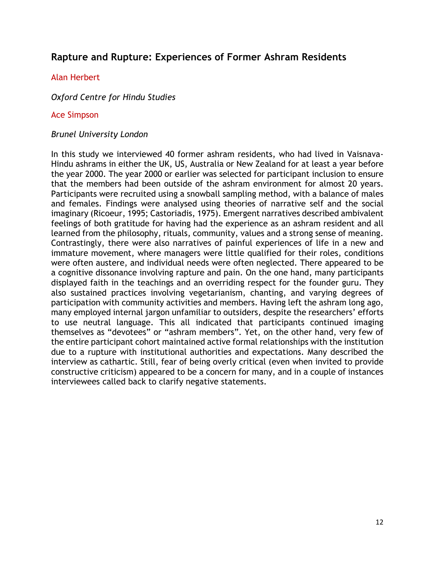# **Rapture and Rupture: Experiences of Former Ashram Residents**

#### Alan Herbert

*Oxford Centre for Hindu Studies*

#### Ace Simpson

#### *Brunel University London*

In this study we interviewed 40 former ashram residents, who had lived in Vaisnava-Hindu ashrams in either the UK, US, Australia or New Zealand for at least a year before the year 2000. The year 2000 or earlier was selected for participant inclusion to ensure that the members had been outside of the ashram environment for almost 20 years. Participants were recruited using a snowball sampling method, with a balance of males and females. Findings were analysed using theories of narrative self and the social imaginary (Ricoeur, 1995; Castoriadis, 1975). Emergent narratives described ambivalent feelings of both gratitude for having had the experience as an ashram resident and all learned from the philosophy, rituals, community, values and a strong sense of meaning. Contrastingly, there were also narratives of painful experiences of life in a new and immature movement, where managers were little qualified for their roles, conditions were often austere, and individual needs were often neglected. There appeared to be a cognitive dissonance involving rapture and pain. On the one hand, many participants displayed faith in the teachings and an overriding respect for the founder guru. They also sustained practices involving vegetarianism, chanting, and varying degrees of participation with community activities and members. Having left the ashram long ago, many employed internal jargon unfamiliar to outsiders, despite the researchers' efforts to use neutral language. This all indicated that participants continued imaging themselves as "devotees" or "ashram members". Yet, on the other hand, very few of the entire participant cohort maintained active formal relationships with the institution due to a rupture with institutional authorities and expectations. Many described the interview as cathartic. Still, fear of being overly critical (even when invited to provide constructive criticism) appeared to be a concern for many, and in a couple of instances interviewees called back to clarify negative statements.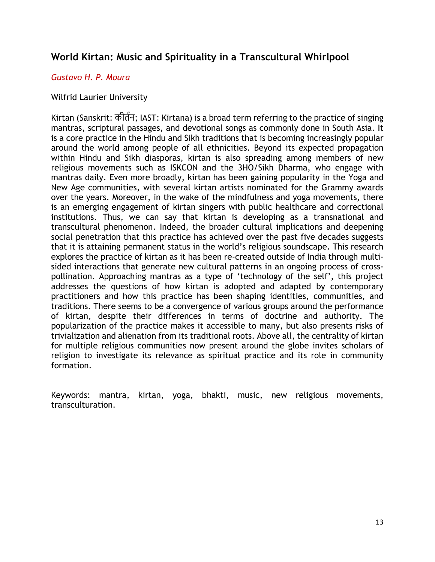# **World Kirtan: Music and Spirituality in a Transcultural Whirlpool**

#### *Gustavo H. P. Moura*

#### Wilfrid Laurier University

Kirtan (Sanskrit: कीर्तन; IAST: Kīrtana) is a broad term referring to the practice of singing mantras, scriptural passages, and devotional songs as commonly done in South Asia. It is a core practice in the Hindu and Sikh traditions that is becoming increasingly popular around the world among people of all ethnicities. Beyond its expected propagation within Hindu and Sikh diasporas, kirtan is also spreading among members of new religious movements such as ISKCON and the 3HO/Sikh Dharma, who engage with mantras daily. Even more broadly, kirtan has been gaining popularity in the Yoga and New Age communities, with several kirtan artists nominated for the Grammy awards over the years. Moreover, in the wake of the mindfulness and yoga movements, there is an emerging engagement of kirtan singers with public healthcare and correctional institutions. Thus, we can say that kirtan is developing as a transnational and transcultural phenomenon. Indeed, the broader cultural implications and deepening social penetration that this practice has achieved over the past five decades suggests that it is attaining permanent status in the world's religious soundscape. This research explores the practice of kirtan as it has been re-created outside of India through multisided interactions that generate new cultural patterns in an ongoing process of crosspollination. Approaching mantras as a type of 'technology of the self', this project addresses the questions of how kirtan is adopted and adapted by contemporary practitioners and how this practice has been shaping identities, communities, and traditions. There seems to be a convergence of various groups around the performance of kirtan, despite their differences in terms of doctrine and authority. The popularization of the practice makes it accessible to many, but also presents risks of trivialization and alienation from its traditional roots. Above all, the centrality of kirtan for multiple religious communities now present around the globe invites scholars of religion to investigate its relevance as spiritual practice and its role in community formation.

Keywords: mantra, kirtan, yoga, bhakti, music, new religious movements, transculturation.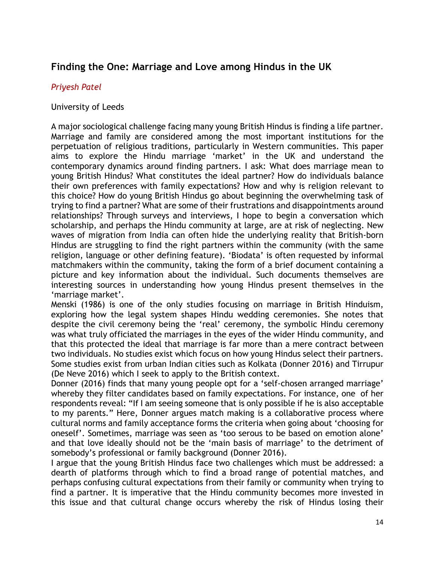# **Finding the One: Marriage and Love among Hindus in the UK**

#### *Priyesh Patel*

#### University of Leeds

A major sociological challenge facing many young British Hindus is finding a life partner. Marriage and family are considered among the most important institutions for the perpetuation of religious traditions, particularly in Western communities. This paper aims to explore the Hindu marriage 'market' in the UK and understand the contemporary dynamics around finding partners. I ask: What does marriage mean to young British Hindus? What constitutes the ideal partner? How do individuals balance their own preferences with family expectations? How and why is religion relevant to this choice? How do young British Hindus go about beginning the overwhelming task of trying to find a partner? What are some of their frustrations and disappointments around relationships? Through surveys and interviews, I hope to begin a conversation which scholarship, and perhaps the Hindu community at large, are at risk of neglecting. New waves of migration from India can often hide the underlying reality that British-born Hindus are struggling to find the right partners within the community (with the same religion, language or other defining feature). 'Biodata' is often requested by informal matchmakers within the community, taking the form of a brief document containing a picture and key information about the individual. Such documents themselves are interesting sources in understanding how young Hindus present themselves in the 'marriage market'.

Menski (1986) is one of the only studies focusing on marriage in British Hinduism, exploring how the legal system shapes Hindu wedding ceremonies. She notes that despite the civil ceremony being the 'real' ceremony, the symbolic Hindu ceremony was what truly officiated the marriages in the eyes of the wider Hindu community, and that this protected the ideal that marriage is far more than a mere contract between two individuals. No studies exist which focus on how young Hindus select their partners. Some studies exist from urban Indian cities such as Kolkata (Donner 2016) and Tirrupur (De Neve 2016) which I seek to apply to the British context.

Donner (2016) finds that many young people opt for a 'self-chosen arranged marriage' whereby they filter candidates based on family expectations. For instance, one of her respondents reveal: "If I am seeing someone that is only possible if he is also acceptable to my parents." Here, Donner argues match making is a collaborative process where cultural norms and family acceptance forms the criteria when going about 'choosing for oneself'. Sometimes, marriage was seen as 'too serous to be based on emotion alone' and that love ideally should not be the 'main basis of marriage' to the detriment of somebody's professional or family background (Donner 2016).

I argue that the young British Hindus face two challenges which must be addressed: a dearth of platforms through which to find a broad range of potential matches, and perhaps confusing cultural expectations from their family or community when trying to find a partner. It is imperative that the Hindu community becomes more invested in this issue and that cultural change occurs whereby the risk of Hindus losing their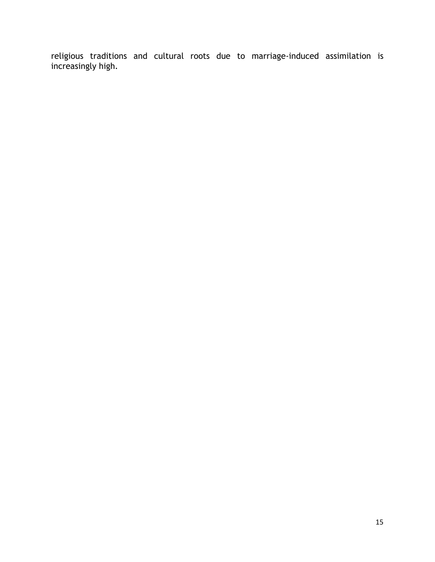religious traditions and cultural roots due to marriage-induced assimilation is increasingly high.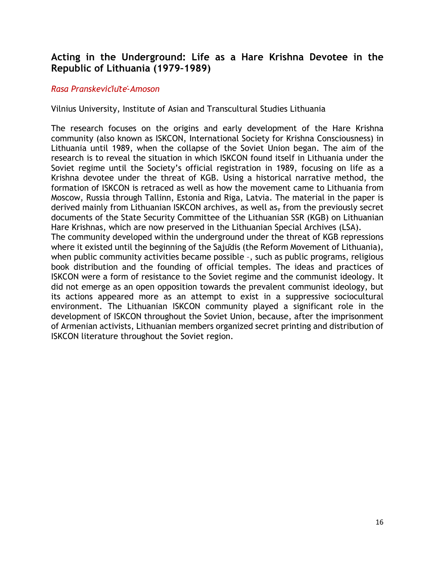# **Acting in the Underground: Life as a Hare Krishna Devotee in the Republic of Lithuania (1979–1989)**

#### *Rasa Pranskevičiūtė-Amoson*

Vilnius University, Institute of Asian and Transcultural Studies Lithuania

The research focuses on the origins and early development of the Hare Krishna community (also known as ISKCON, International Society for Krishna Consciousness) in Lithuania until 1989, when the collapse of the Soviet Union began. The aim of the research is to reveal the situation in which ISKCON found itself in Lithuania under the Soviet regime until the Society's official registration in 1989, focusing on life as a Krishna devotee under the threat of KGB. Using a historical narrative method, the formation of ISKCON is retraced as well as how the movement came to Lithuania from Moscow, Russia through Tallinn, Estonia and Riga, Latvia. The material in the paper is derived mainly from Lithuanian ISKCON archives, as well as $<sub>5</sub>$  from the previously secret</sub> documents of the State Security Committee of the Lithuanian SSR (KGB) on Lithuanian Hare Krishnas, which are now preserved in the Lithuanian Special Archives (LSA). The community developed within the underground under the threat of KGB repressions where it existed until the beginning of the Sajuīdis (the Reform Movement of Lithuania),

when public community activities became possible –, such as public programs, religious book distribution and the founding of official temples. The ideas and practices of ISKCON were a form of resistance to the Soviet regime and the communist ideology. It did not emerge as an open opposition towards the prevalent communist ideology, but its actions appeared more as an attempt to exist in a suppressive sociocultural environment. The Lithuanian ISKCON community played a significant role in the development of ISKCON throughout the Soviet Union, because, after the imprisonment of Armenian activists, Lithuanian members organized secret printing and distribution of ISKCON literature throughout the Soviet region.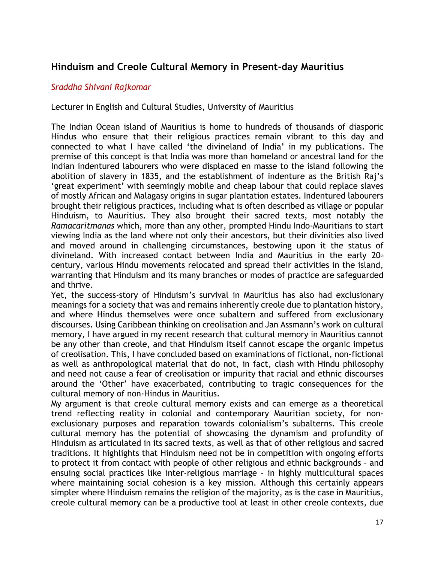# **Hinduism and Creole Cultural Memory in Present-day Mauritius**

#### *Sraddha Shivani Rajkomar*

Lecturer in English and Cultural Studies, University of Mauritius

The Indian Ocean island of Mauritius is home to hundreds of thousands of diasporic Hindus who ensure that their religious practices remain vibrant to this day and connected to what I have called 'the divineland of India' in my publications. The premise of this concept is that India was more than homeland or ancestral land for the Indian indentured labourers who were displaced en masse to the island following the abolition of slavery in 1835, and the establishment of indenture as the British Raj's 'great experiment' with seemingly mobile and cheap labour that could replace slaves of mostly African and Malagasy origins in sugar plantation estates. Indentured labourers brought their religious practices, including what is often described as village or popular Hinduism, to Mauritius. They also brought their sacred texts, most notably the *Ramacaritmanas* which, more than any other, prompted Hindu Indo-Mauritians to start viewing India as the land where not only their ancestors, but their divinities also lived and moved around in challenging circumstances, bestowing upon it the status of divineland. With increased contact between India and Mauritius in the early  $20<sup>th</sup>$ century, various Hindu movements relocated and spread their activities in the island, warranting that Hinduism and its many branches or modes of practice are safeguarded and thrive.

Yet, the success-story of Hinduism's survival in Mauritius has also had exclusionary meanings for a society that was and remains inherently creole due to plantation history, and where Hindus themselves were once subaltern and suffered from exclusionary discourses. Using Caribbean thinking on creolisation and Jan Assmann's work on cultural memory, I have argued in my recent research that cultural memory in Mauritius cannot be any other than creole, and that Hinduism itself cannot escape the organic impetus of creolisation. This, I have concluded based on examinations of fictional, non-fictional as well as anthropological material that do not, in fact, clash with Hindu philosophy and need not cause a fear of creolisation or impurity that racial and ethnic discourses around the 'Other' have exacerbated, contributing to tragic consequences for the cultural memory of non-Hindus in Mauritius.

My argument is that creole cultural memory exists and can emerge as a theoretical trend reflecting reality in colonial and contemporary Mauritian society, for nonexclusionary purposes and reparation towards colonialism's subalterns. This creole cultural memory has the potential of showcasing the dynamism and profundity of Hinduism as articulated in its sacred texts, as well as that of other religious and sacred traditions. It highlights that Hinduism need not be in competition with ongoing efforts to protect it from contact with people of other religious and ethnic backgrounds – and ensuing social practices like inter-religious marriage – in highly multicultural spaces where maintaining social cohesion is a key mission. Although this certainly appears simpler where Hinduism remains the religion of the majority, as is the case in Mauritius, creole cultural memory can be a productive tool at least in other creole contexts, due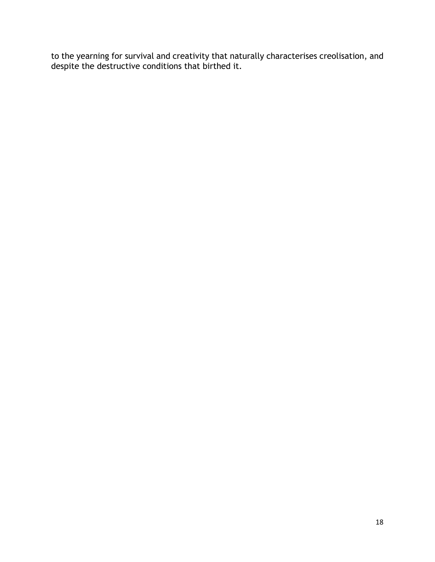to the yearning for survival and creativity that naturally characterises creolisation, and despite the destructive conditions that birthed it.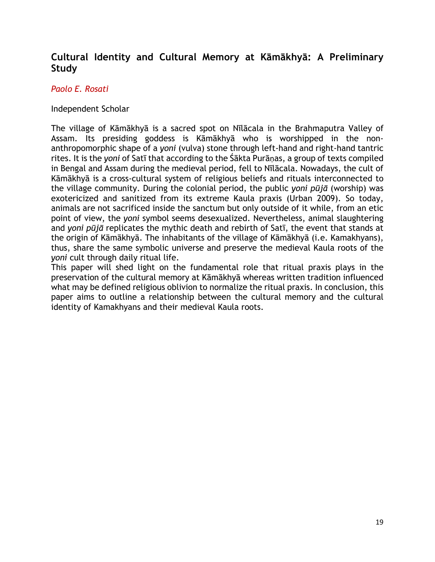# **Cultural Identity and Cultural Memory at Kāmākhyā: A Preliminary Study**

#### *Paolo E. Rosati*

#### Independent Scholar

The village of Kāmākhyā is a sacred spot on Nīlācala in the Brahmaputra Valley of Assam. Its presiding goddess is Kāmākhyā who is worshipped in the nonanthropomorphic shape of a *yoni* (vulva) stone through left-hand and right-hand tantric rites. It is the *yoni* of Satī that according to the Śākta Purāṇas, a group of texts compiled in Bengal and Assam during the medieval period, fell to Nīlācala. Nowadays, the cult of Kāmākhyā is a cross-cultural system of religious beliefs and rituals interconnected to the village community. During the colonial period, the public *yoni pūjā* (worship) was exotericized and sanitized from its extreme Kaula praxis (Urban 2009). So today, animals are not sacrificed inside the sanctum but only outside of it while, from an etic point of view, the *yoni* symbol seems desexualized. Nevertheless, animal slaughtering and *yoni pūjā* replicates the mythic death and rebirth of Satī, the event that stands at the origin of Kāmākhyā. The inhabitants of the village of Kāmākhyā (i.e. Kamakhyans), thus, share the same symbolic universe and preserve the medieval Kaula roots of the *yoni* cult through daily ritual life.

This paper will shed light on the fundamental role that ritual praxis plays in the preservation of the cultural memory at Kāmākhyā whereas written tradition influenced what may be defined religious oblivion to normalize the ritual praxis. In conclusion, this paper aims to outline a relationship between the cultural memory and the cultural identity of Kamakhyans and their medieval Kaula roots.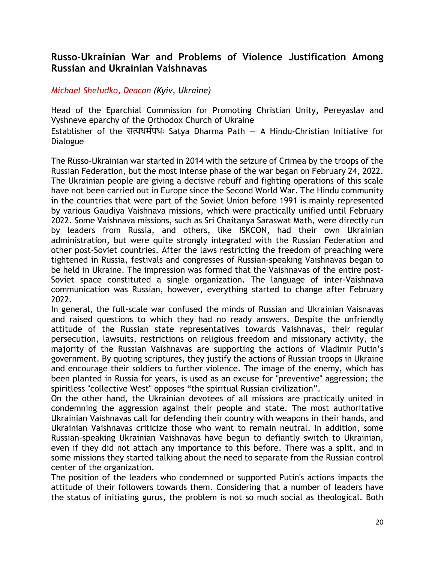# **Russo-Ukrainian War and Problems of Violence Justification Among Russian and Ukrainian Vaishnavas**

#### *Michael Sheludko, Deacon (Kyiv, Ukraine)*

Head of the Eparchial Commission for Promoting Christian Unity, Pereyaslav and Vyshneve eparchy of the Orthodox Church of Ukraine Establisher of the सत्यधर्मपथः Satya Dharma Path  $-$  A Hindu-Christian Initiative for Dialogue

The Russo-Ukrainian war started in 2014 with the seizure of Crimea by the troops of the Russian Federation, but the most intense phase of the war began on February 24, 2022. The Ukrainian people are giving a decisive rebuff and fighting operations of this scale have not been carried out in Europe since the Second World War. The Hindu community in the countries that were part of the Soviet Union before 1991 is mainly represented by various Gaudiya Vaishnava missions, which were practically unified until February 2022. Some Vaishnava missions, such as Sri Chaitanya Saraswat Math, were directly run by leaders from Russia, and others, like ISKCON, had their own Ukrainian administration, but were quite strongly integrated with the Russian Federation and other post-Soviet countries. After the laws restricting the freedom of preaching were tightened in Russia, festivals and congresses of Russian-speaking Vaishnavas began to be held in Ukraine. The impression was formed that the Vaishnavas of the entire post-Soviet space constituted a single organization. The language of inter-Vaishnava communication was Russian, however, everything started to change after February 2022.

In general, the full-scale war confused the minds of Russian and Ukrainian Vaisnavas and raised questions to which they had no ready answers. Despite the unfriendly attitude of the Russian state representatives towards Vaishnavas, their regular persecution, lawsuits, restrictions on religious freedom and missionary activity, the majority of the Russian Vaishnavas are supporting the actions of Vladimir Putin's government. By quoting scriptures, they justify the actions of Russian troops in Ukraine and encourage their soldiers to further violence. The image of the enemy, which has been planted in Russia for years, is used as an excuse for "preventive" aggression; the spiritless "collective West" opposes "the spiritual Russian civilization".

On the other hand, the Ukrainian devotees of all missions are practically united in condemning the aggression against their people and state. The most authoritative Ukrainian Vaishnavas call for defending their country with weapons in their hands, and Ukrainian Vaishnavas criticize those who want to remain neutral. In addition, some Russian-speaking Ukrainian Vaishnavas have begun to defiantly switch to Ukrainian, even if they did not attach any importance to this before. There was a split, and in some missions they started talking about the need to separate from the Russian control center of the organization.

The position of the leaders who condemned or supported Putin's actions impacts the attitude of their followers towards them. Considering that a number of leaders have the status of initiating gurus, the problem is not so much social as theological. Both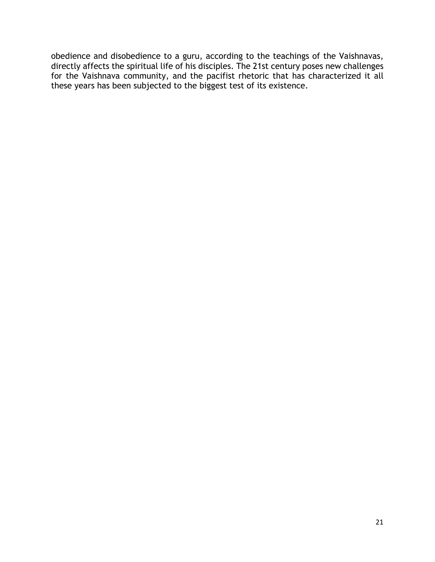obedience and disobedience to a guru, according to the teachings of the Vaishnavas, directly affects the spiritual life of his disciples. The 21st century poses new challenges for the Vaishnava community, and the pacifist rhetoric that has characterized it all these years has been subjected to the biggest test of its existence.